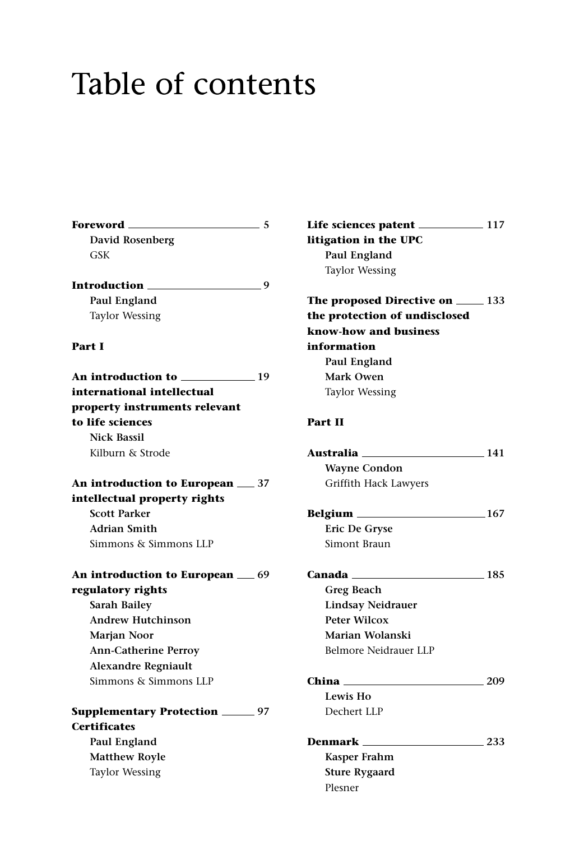## Table of contents

| Foreword ____                             | -5 |
|-------------------------------------------|----|
| <b>David Rosenberg</b>                    |    |
| GSK                                       |    |
|                                           |    |
| Introduction _____<br>$\sim$ 9            |    |
| Paul England                              |    |
| <b>Taylor Wessing</b>                     |    |
| Part I                                    |    |
| An introduction to                        |    |
| international intellectual                |    |
| property instruments relevant             |    |
| to life sciences                          |    |
| <b>Nick Bassil</b>                        |    |
| Kilburn & Strode                          |    |
| An introduction to European __ 37         |    |
| intellectual property rights              |    |
| <b>Scott Parker</b>                       |    |
| <b>Adrian Smith</b>                       |    |
| Simmons & Simmons LLP                     |    |
| An introduction to European _69           |    |
| regulatory rights                         |    |
| Sarah Bailey                              |    |
| <b>Andrew Hutchinson</b>                  |    |
| Marjan Noor                               |    |
| <b>Ann-Catherine Perroy</b>               |    |
| <b>Alexandre Regniault</b>                |    |
| Simmons & Simmons LLP                     |    |
| <b>Supplementary Protection ______ 97</b> |    |
| <b>Certificates</b>                       |    |
| Paul England                              |    |
| <b>Matthew Royle</b>                      |    |
| Taylor Wessing                            |    |

Life sciences patent **117 litigation in the UPC Paul England** Taylor Wessing

**The proposed Directive on 133 the protection of undisclosed know-how and business information Paul England Mark Owen** Taylor Wessing

## **Part II**

Plesner

| Australia ____________________                                                                                          | 141 |
|-------------------------------------------------------------------------------------------------------------------------|-----|
| <b>Wayne Condon</b>                                                                                                     |     |
| Griffith Hack Lawyers                                                                                                   |     |
| Belgium _______________                                                                                                 | 167 |
| Eric De Gryse                                                                                                           |     |
| Simont Braun                                                                                                            |     |
| Canada <b>comparador</b> de la comparador de la comparador de la comparador de la comparador de la comparador de la com | 185 |
| Greg Beach                                                                                                              |     |
| <b>Lindsay Neidrauer</b>                                                                                                |     |
| Peter Wilcox                                                                                                            |     |
| Marian Wolanski                                                                                                         |     |
| Belmore Neidrauer LLP                                                                                                   |     |
|                                                                                                                         | 209 |
| Lewis Ho                                                                                                                |     |
| Dechert LLP                                                                                                             |     |
| <b>Denmark</b> ____                                                                                                     | 233 |
| Kasper Frahm                                                                                                            |     |
| <b>Sture Rygaard</b>                                                                                                    |     |